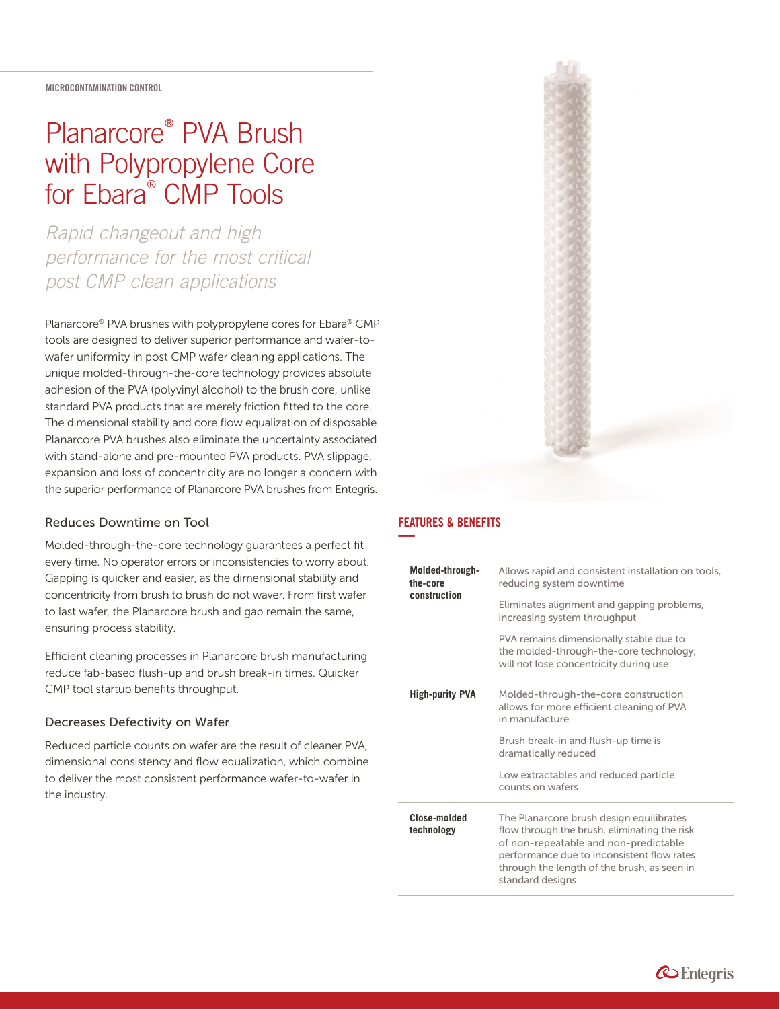# Planarcore® PVA Brush with Polypropylene Core for Ebara® CMP Tools

*Rapid changeout and high performance for the most critical post CMP clean applications*

Planarcore® PVA brushes with polypropylene cores for Ebara® CMP tools are designed to deliver superior performance and wafer-towafer uniformity in post CMP wafer cleaning applications. The unique molded-through-the-core technology provides absolute adhesion of the PVA (polyvinyl alcohol) to the brush core, unlike standard PVA products that are merely friction fitted to the core. The dimensional stability and core flow equalization of disposable Planarcore PVA brushes also eliminate the uncertainty associated with stand-alone and pre-mounted PVA products. PVA slippage, expansion and loss of concentricity are no longer a concern with the superior performance of Planarcore PVA brushes from Entegris.

# Reduces Downtime on Tool

Molded-through-the-core technology guarantees a perfect fit every time. No operator errors or inconsistencies to worry about. Gapping is quicker and easier, as the dimensional stability and concentricity from brush to brush do not waver. From first wafer to last wafer, the Planarcore brush and gap remain the same, ensuring process stability.

Efficient cleaning processes in Planarcore brush manufacturing reduce fab-based flush-up and brush break-in times. Quicker CMP tool startup benefits throughput.

# Decreases Defectivity on Wafer

Reduced particle counts on wafer are the result of cleaner PVA, dimensional consistency and flow equalization, which combine to deliver the most consistent performance wafer-to-wafer in the industry.

#### FEATURES & BENEFITS **—**

| Molded-through-<br>the-core<br>construction | Allows rapid and consistent installation on tools,<br>reducing system downtime                                                                                                                                                                     |
|---------------------------------------------|----------------------------------------------------------------------------------------------------------------------------------------------------------------------------------------------------------------------------------------------------|
|                                             | Eliminates alignment and gapping problems,<br>increasing system throughput                                                                                                                                                                         |
|                                             | PVA remains dimensionally stable due to<br>the molded-through-the-core technology;<br>will not lose concentricity during use                                                                                                                       |
| <b>High-purity PVA</b>                      | Molded-through-the-core construction<br>allows for more efficient cleaning of PVA<br>in manufacture                                                                                                                                                |
|                                             | Brush break-in and flush-up time is<br>dramatically reduced                                                                                                                                                                                        |
|                                             | Low extractables and reduced particle<br>counts on wafers                                                                                                                                                                                          |
| Close-molded<br>technology                  | The Planarcore brush design equilibrates<br>flow through the brush, eliminating the risk<br>of non-repeatable and non-predictable<br>performance due to inconsistent flow rates<br>through the length of the brush, as seen in<br>standard designs |

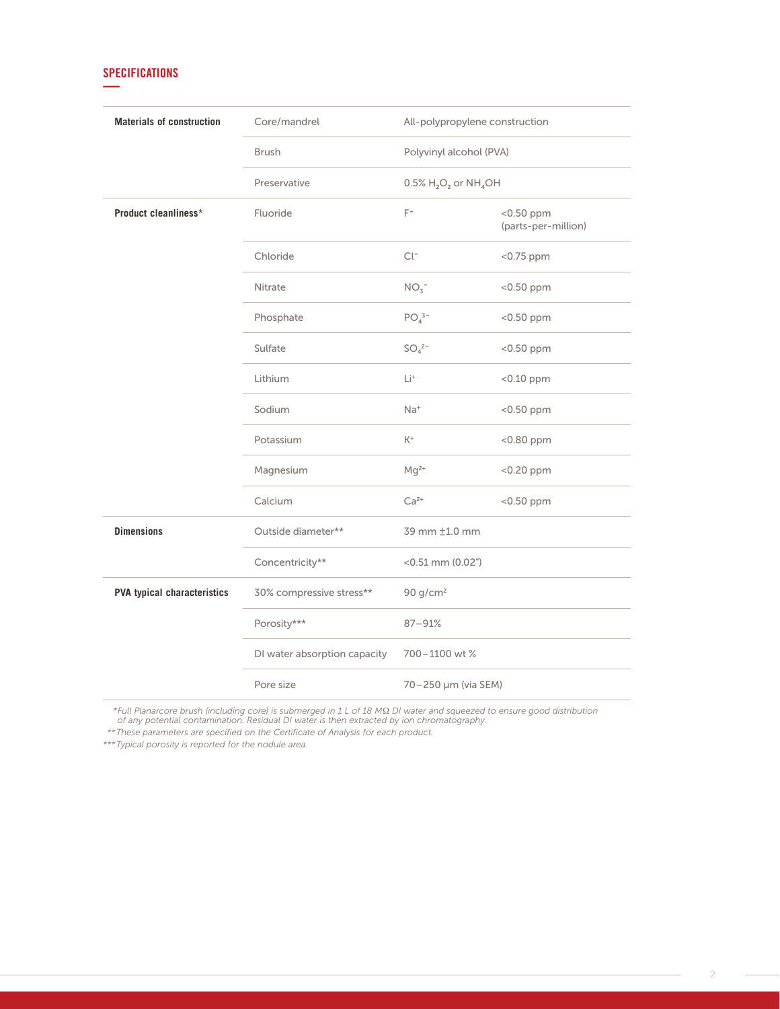# **SPECIFICATIONS —**

| <b>Materials of construction</b>   | Core/mandrel                 | All-polypropylene construction                              |                                     |
|------------------------------------|------------------------------|-------------------------------------------------------------|-------------------------------------|
|                                    | <b>Brush</b>                 | Polyvinyl alcohol (PVA)                                     |                                     |
|                                    | Preservative                 | $0.5\%$ H <sub>2</sub> O <sub>2</sub> or NH <sub>4</sub> OH |                                     |
| Product cleanliness*               | Fluoride                     | $F^-$                                                       | $<$ 0.50 ppm<br>(parts-per-million) |
|                                    | Chloride                     | $Cl^-$                                                      | $<$ 0.75 ppm                        |
|                                    | Nitrate                      | NO <sub>3</sub>                                             | $<$ 0.50 ppm                        |
|                                    | Phosphate                    | $PO43-$                                                     | <0.50 ppm                           |
|                                    | Sulfate                      | $SO_4^2$ -                                                  | <0.50 ppm                           |
|                                    | Lithium                      | Li <sup>+</sup>                                             | <0.10 ppm                           |
|                                    | Sodium                       | $Na+$                                                       | <0.50 ppm                           |
|                                    | Potassium                    | $K^+$                                                       | $< 0.80$ ppm                        |
|                                    | Magnesium                    | $Mg^{2+}$                                                   | <0.20 ppm                           |
|                                    | Calcium                      | $Ca2+$                                                      | <0.50 ppm                           |
| <b>Dimensions</b>                  | Outside diameter**           | 39 mm ±1.0 mm                                               |                                     |
|                                    | Concentricity**              | $<$ 0.51 mm (0.02")                                         |                                     |
| <b>PVA typical characteristics</b> | 30% compressive stress**     | 90 g/cm <sup>2</sup>                                        |                                     |
|                                    | Porosity***                  | 87-91%                                                      |                                     |
|                                    | DI water absorption capacity | 700-1100 wt %                                               |                                     |
|                                    | Pore size                    | 70-250 µm (via SEM)                                         |                                     |

\*Full Planarcore brush (including core) is submerged in 1 L of 18 MΩ DI water and squeezed to ensure good distribution<br>of any potential contamination. Residual DI water is then extracted by ion chromatography.

*\*\* These parameters are specified on the Certificate of Analysis for each product.*

*\*\*\* Typical porosity is reported for the nodule area.*